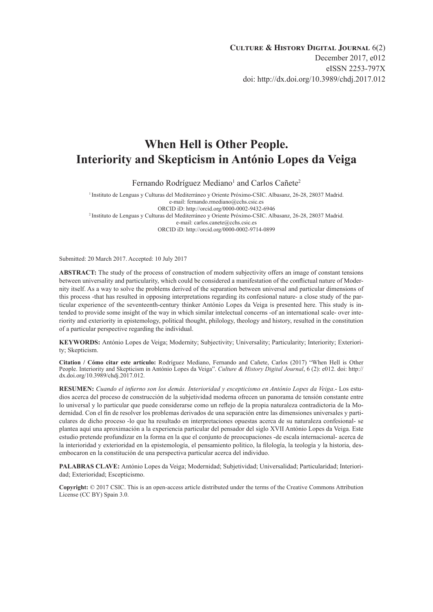# **When Hell is Other People. Interiority and Skepticism in António Lopes da Veiga**

Fernando Rodríguez Mediano<sup>1</sup> and Carlos Cañete<sup>2</sup>

1 Instituto de Lenguas y Culturas del Mediterráneo y Oriente Próximo-CSIC. Albasanz, 26-28, 28037 Madrid. e-mail: [fernando.rmediano@cchs.csic.es](mailto:fernando.rmediano%40cchs.csic.es?subject=) ORCID iD:<http://orcid.org/0000-0002-9432-6946> 2 Instituto de Lenguas y Culturas del Mediterráneo y Oriente Próximo-CSIC. Albasanz, 26-28, 28037 Madrid. e-mail: [carlos.canete@cchs.csic.es](mailto:carlos.canete%40cchs.csic.es?subject=) ORCID iD:<http://orcid.org/0000-0002-9714-0899>

Submitted: 20 March 2017. Accepted: 10 July 2017

**ABSTRACT:** The study of the process of construction of modern subjectivity offers an image of constant tensions between universality and particularity, which could be considered a manifestation of the conflictual nature of Modernity itself. As a way to solve the problems derived of the separation between universal and particular dimensions of this process -that has resulted in opposing interpretations regarding its confesional nature- a close study of the particular experience of the seventeenth-century thinker António Lopes da Veiga is presented here. This study is intended to provide some insight of the way in which similar intelectual concerns -of an international scale- over interiority and exteriority in epistemology, political thought, philology, theology and history, resulted in the constitution of a particular perspective regarding the individual.

**KEYWORDS:** António Lopes de Veiga; Modernity; Subjectivity; Universality; Particularity; Interiority; Exteriority; Skepticism.

**Citation / Cómo citar este artículo:** Rodríguez Mediano, Fernando and Cañete, Carlos (2017) "When Hell is Other People. Interiority and Skepticism in António Lopes da Veiga". *Culture & History Digital Journal*, 6 (2): e012. doi: [http://](http://dx.doi.org/10.3989/chdj.2017.012) [dx.doi.org/10.3989/chdj.2017.012](http://dx.doi.org/10.3989/chdj.2017.012).

**RESUMEN:** *Cuando el infierno son los demás. Interioridad y escepticismo en António Lopes da Veiga*.- Los estudios acerca del proceso de construcción de la subjetividad moderna ofrecen un panorama de tensión constante entre lo universal y lo particular que puede considerarse como un reflejo de la propia naturaleza contradictoria de la Modernidad. Con el fin de resolver los problemas derivados de una separación entre las dimensiones universales y particulares de dicho proceso -lo que ha resultado en interpretaciones opuestas acerca de su naturaleza confesional- se plantea aquí una aproximación a la experiencia particular del pensador del siglo XVII António Lopes da Veiga. Este estudio pretende profundizar en la forma en la que el conjunto de preocupaciones -de escala internacional- acerca de la interioridad y exterioridad en la epistemología, el pensamiento politico, la filología, la teología y la historia, desembocaron en la constitución de una perspectiva particular acerca del individuo.

**PALABRAS CLAVE:** António Lopes da Veiga; Modernidad; Subjetividad; Universalidad; Particularidad; Interioridad; Exterioridad; Escepticismo.

**Copyright:** © 2017 CSIC. This is an open-access article distributed under the terms of the Creative Commons Attribution License (CC BY) Spain 3.0.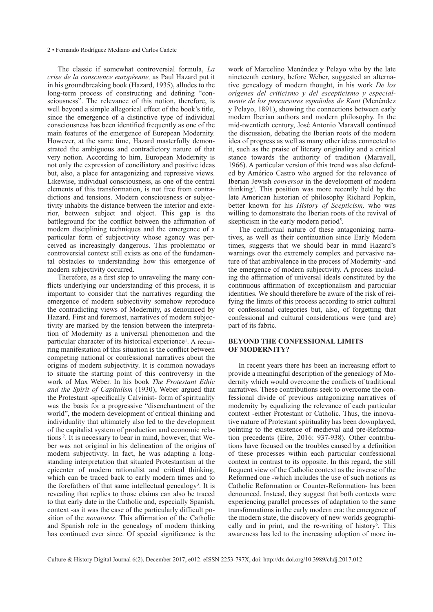The classic if somewhat controversial formula, *La crise de la conscience européenne,* as Paul Hazard put it in his groundbreaking book (Hazard, 1935), alludes to the long-term process of constructing and defining "consciousness". The relevance of this notion, therefore, is well beyond a simple allegorical effect of the book's title, since the emergence of a distinctive type of individual consciousness has been identified frequently as one of the main features of the emergence of European Modernity. However, at the same time, Hazard masterfully demonstrated the ambiguous and contradictory nature of that very notion. According to him, European Modernity is not only the expression of conciliatory and positive ideas but, also, a place for antagonizing and repressive views. Likewise, individual consciousness, as one of the central elements of this transformation, is not free from contradictions and tensions. Modern consciousness or subjectivity inhabits the distance between the interior and exterior, between subject and object. This gap is the battleground for the conflict between the affirmation of modern disciplining techniques and the emergence of a particular form of subjectivity whose agency was perceived as increasingly dangerous. This problematic or controversial context still exists as one of the fundamental obstacles to understanding how this emergence of modern subjectivity occurred.

Therefore, as a first step to unraveling the many conflicts underlying our understanding of this process, it is important to consider that the narratives regarding the emergence of modern subjectivity somehow reproduce the contradicting views of Modernity, as denounced by Hazard. First and foremost, narratives of modern subjectivity are marked by the tension between the interpretation of Modernity as a universal phenomenon and the particular character of its historical experience<sup>1</sup>. A recurring manifestation of this situation is the conflict between competing national or confessional narratives about the origins of modern subjectivity. It is common nowadays to situate the starting point of this controversy in the work of Max Weber. In his book *The Protestant Ethic and the Spirit of Capitalism* (1930), Weber argued that the Protestant -specifically Calvinist- form of spirituality was the basis for a progressive "disenchantment of the world", the modern development of critical thinking and individuality that ultimately also led to the development of the capitalist system of production and economic relations 2. It is necessary to bear in mind, however, that Weber was not original in his delineation of the origins of modern subjectivity. In fact, he was adapting a longstanding interpretation that situated Protestantism at the epicenter of modern rationalist and critical thinking, which can be traced back to early modern times and to the forefathers of that same intellectual genealogy<sup>3</sup>. It is revealing that replies to those claims can also be traced to that early date in the Catholic and, especially Spanish, context -as it was the case of the particularly difficult position of the *novatores.* This affirmation of the Catholic and Spanish role in the genealogy of modern thinking has continued ever since. Of special significance is the

or confessional categories but, also, of forgetting that confessional and cultural considerations were (and are) part of its fabric. **Beyond the confessional limits of Modernity?**  In recent years there has been an increasing effort to provide a meaningful description of the genealogy of Modernity which would overcome the conflicts of traditional narratives. These contributions seek to overcome the con-

fessional divide of previous antagonizing narratives of modernity by equalizing the relevance of each particular context -either Protestant or Catholic. Thus, the innovative nature of Protestant spirituality has been downplayed, pointing to the existence of medieval and pre-Reformation precedents (Eire, 2016: 937-938). Other contributions have focused on the troubles caused by a definition of these processes within each particular confessional context in contrast to its opposite. In this regard, the still frequent view of the Catholic context as the inverse of the Reformed one -which includes the use of such notions as Catholic Reformation or Counter-Reformation- has been denounced. Instead, they suggest that both contexts were experiencing parallel processes of adaptation to the same transformations in the early modern era: the emergence of the modern state, the discovery of new worlds geographically and in print, and the re-writing of history<sup>6</sup>. This awareness has led to the increasing adoption of more in-

Culture & History Digital Journal 6(2), December 2017, e012. eISSN 2253-797X, doi:<http://dx.doi.org/10.3989/chdj.2017.012>

work of Marcelino Menéndez y Pelayo who by the late nineteenth century, before Weber, suggested an alternative genealogy of modern thought, in his work *De los orígenes del criticismo y del escepticismo y especialmente de los precursores españoles de Kant* (Menéndez y Pelayo, 1891), showing the connections between early modern Iberian authors and modern philosophy. In the mid-twentieth century, José Antonio Maravall continued the discussion, debating the Iberian roots of the modern idea of progress as well as many other ideas connected to it, such as the praise of literary originality and a critical stance towards the authority of tradition (Maravall, 1966). A particular version of this trend was also defended by Américo Castro who argued for the relevance of Iberian Jewish *conversos* in the development of modern thinking4 . This position was more recently held by the late American historian of philosophy Richard Popkin, better known for his *History of Scepticism,* who was willing to demonstrate the Iberian roots of the revival of skepticism in the early modern period<sup>5</sup>.

The conflictual nature of these antagonizing narratives, as well as their continuation since Early Modern times, suggests that we should bear in mind Hazard's warnings over the extremely complex and pervasive nature of that ambivalence in the process of Modernity -and the emergence of modern subjectivity. A process including the affirmation of universal ideals constituted by the continuous affirmation of exceptionalism and particular identities. We should therefore be aware of the risk of reifying the limits of this process according to strict cultural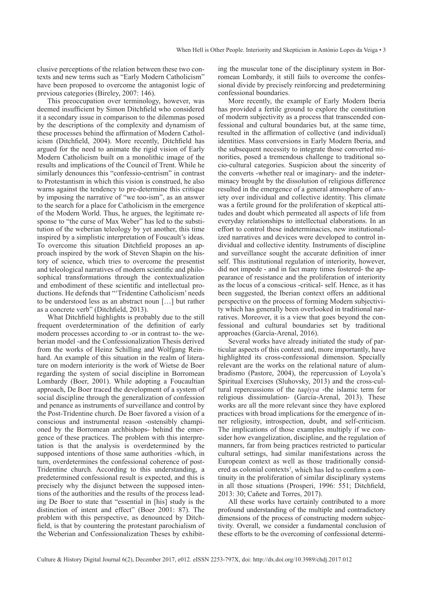clusive perceptions of the relation between these two contexts and new terms such as "Early Modern Catholicism" have been proposed to overcome the antagonist logic of previous categories (Bireley, 2007: 146).

This preoccupation over terminology, however, was deemed insufficient by Simon Ditchfield who considered it a secondary issue in comparison to the dilemmas posed by the descriptions of the complexity and dynamism of these processes behind the affirmation of Modern Catholicism (Ditchfield, 2004). More recently, Ditchfield has argued for the need to animate the rigid vision of Early Modern Catholicism built on a monolithic image of the results and implications of the Council of Trent. While he similarly denounces this "confessio-centrism" in contrast to Protestantism in which this vision is construed, he also warns against the tendency to pre-determine this critique by imposing the narrative of "we too-ism", as an answer to the search for a place for Catholicism in the emergence of the Modern World. Thus, he argues, the legitimate response to "the curse of Max Weber" has led to the substitution of the weberian teleology by yet another, this time inspired by a simplistic interpretation of Foucault's ideas. To overcome this situation Ditchfield proposes an approach inspired by the work of Steven Shapin on the history of science, which tries to overcome the presentist and teleological narratives of modern scientific and philosophical transformations through the contextualization and embodiment of these scientific and intellectual productions. He defends that "'Tridentine Catholicism' needs to be understood less as an abstract noun […] but rather as a concrete verb" (Ditchfield, 2013).

What Ditchfield highlights is probably due to the still frequent overdetermination of the definition of early modern processes according to -or in contrast to- the weberian model -and the Confessionalization Thesis derived from the works of Heinz Schilling and Wolfgang Reinhard. An example of this situation in the realm of literature on modern interiority is the work of Wietse de Boer regarding the system of social discipline in Borromean Lombardy (Boer, 2001). While adopting a Foucaultian approach, De Boer traced the development of a system of social discipline through the generalization of confession and penance as instruments of surveillance and control by the Post-Tridentine church. De Boer favored a vision of a conscious and instrumental reason -ostensibly championed by the Borromean archbishops- behind the emergence of these practices. The problem with this interpretation is that the analysis is overdetermined by the supposed intentions of those same authorities -which, in turn, overdetermines the confessional coherence of post-Tridentine church. According to this understanding, a predetermined confessional result is expected, and this is precisely why the disjunct between the supposed intentions of the authorities and the results of the process leading De Boer to state that "essential in [his] study is the distinction of intent and effect" (Boer 2001: 87). The problem with this perspective, as denounced by Ditchfield, is that by countering the protestant parochialism of the Weberian and Confessionalization Theses by exhibiting the muscular tone of the disciplinary system in Borromean Lombardy, it still fails to overcome the confessional divide by precisely reinforcing and predetermining confessional boundaries.

More recently, the example of Early Modern Iberia has provided a fertile ground to explore the constitution of modern subjectivity as a process that transcended confessional and cultural boundaries but, at the same time, resulted in the affirmation of collective (and individual) identities. Mass conversions in Early Modern Iberia, and the subsequent necessity to integrate those converted minorities, posed a tremendous challenge to traditional socio-cultural categories. Suspicion about the sincerity of the converts -whether real or imaginary- and the indeterminacy brought by the dissolution of religious difference resulted in the emergence of a general atmosphere of anxiety over individual and collective identity. This climate was a fertile ground for the proliferation of skeptical attitudes and doubt which permeated all aspects of life from everyday relationships to intellectual elaborations. In an effort to control these indeterminacies, new institutionalized narratives and devices were developed to control individual and collective identity. Instruments of discipline and surveillance sought the accurate definition of inner self. This institutional regulation of interiority, however, did not impede - and in fact many times fostered- the appearance of resistance and the proliferation of interiority as the locus of a conscious -critical- self. Hence, as it has been suggested, the Iberian context offers an additional perspective on the process of forming Modern subjectivity which has generally been overlooked in traditional narratives. Moreover, it is a view that goes beyond the confessional and cultural boundaries set by traditional approaches (García-Arenal, 2016).

Several works have already initiated the study of particular aspects of this context and, more importantly, have highlighted its cross-confessional dimension. Specially relevant are the works on the relational nature of alumbradismo (Pastore, 2004), the repercussion of Loyola's Spiritual Exercises (Sluhovsky, 2013) and the cross-cultural repercussions of the *taqiyya* -the islamic term for religious dissimulation- (García-Arenal, 2013). These works are all the more relevant since they have explored practices with broad implications for the emergence of inner religiosity, introspection, doubt, and self-criticism. The implications of those examples multiply if we consider how evangelization, discipline, and the regulation of manners, far from being practices restricted to particular cultural settings, had similar manifestations across the European context as well as those traditionally considered as colonial contexts<sup>7</sup>, which has led to confirm a continuity in the proliferation of similar disciplinary systems in all those situations (Prosperi, 1996: 551; Ditchfield, 2013: 30; Cañete and Torres, 2017).

All these works have certainly contributed to a more profound understanding of the multiple and contradictory dimensions of the process of constructing modern subjectivity. Overall, we consider a fundamental conclusion of these efforts to be the overcoming of confessional determi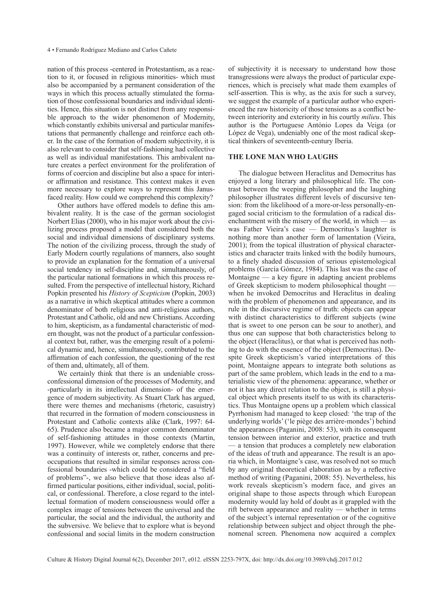nation of this process -centered in Protestantism, as a reaction to it, or focused in religious minorities- which must also be accompanied by a permanent consideration of the ways in which this process actually stimulated the formation of those confessional boundaries and individual identities. Hence, this situation is not distinct from any responsible approach to the wider phenomenon of Modernity, which constantly exhibits universal and particular manifestations that permanently challenge and reinforce each other. In the case of the formation of modern subjectivity, it is also relevant to consider that self-fashioning had collective as well as individual manifestations. This ambivalent nature creates a perfect environment for the proliferation of forms of coercion and discipline but also a space for interior affirmation and resistance. This context makes it even more necessary to explore ways to represent this Janusfaced reality. How could we comprehend this complexity?

Other authors have offered models to define this ambivalent reality. It is the case of the german sociologist Norbert Elias (2000), who in his major work about the civilizing process proposed a model that considered both the social and individual dimensions of disciplinary systems. The notion of the civilizing process, through the study of Early Modern courtly regulations of manners, also sought to provide an explanation for the formation of a universal social tendency in self-discipline and, simultaneously, of the particular national formations in which this process resulted. From the perspective of intellectual history, Richard Popkin presented his *History of Scepticism* (Popkin, 2003) as a narrative in which skeptical attitudes where a common denominator of both religious and anti-religious authors, Protestant and Catholic, old and new Christians. According to him, skepticism, as a fundamental characteristic of modern thought, was not the product of a particular confessional context but, rather, was the emerging result of a polemical dynamic and, hence, simultaneously, contributed to the affirmation of each confession, the questioning of the rest of them and, ultimately, all of them.

We certainly think that there is an undeniable crossconfessional dimension of the processes of Modernity, and -particularly in its intellectual dimension- of the emergence of modern subjectivity. As Stuart Clark has argued, there were themes and mechanisms (rhetoric, casuistry) that recurred in the formation of modern consciousness in Protestant and Catholic contexts alike (Clark, 1997: 64- 65). Prudence also became a major common denominator of self-fashioning attitudes in those contexts (Martin, 1997). However, while we completely endorse that there was a continuity of interests or, rather, concerns and preoccupations that resulted in similar responses across confessional boundaries -which could be considered a "field of problems"-, we also believe that those ideas also affirmed particular positions, either individual, social, political, or confessional. Therefore, a close regard to the intellectual formation of modern consciousness would offer a complex image of tensions between the universal and the particular, the social and the individual, the authority and the subversive. We believe that to explore what is beyond confessional and social limits in the modern construction of subjectivity it is necessary to understand how those transgressions were always the product of particular experiences, which is precisely what made them examples of self-assertion. This is why, as the axis for such a survey, we suggest the example of a particular author who experienced the raw historicity of those tensions as a conflict between interiority and exteriority in his courtly *milieu*. This author is the Portuguese António Lopes da Veiga (or López de Vega), undeniably one of the most radical skeptical thinkers of seventeenth-century Iberia.

# **The Lone Man who laughs**

The dialogue between Heraclitus and Democritus has enjoyed a long literary and philosophical life. The contrast between the weeping philosopher and the laughing philosopher illustrates different levels of discursive tension: from the likelihood of a more-or-less personally-engaged social criticism to the formulation of a radical disenchantment with the misery of the world, in which — as was Father Vieira's case — Democritus's laughter is nothing more than another form of lamentation (Vieira, 2001); from the topical illustration of physical characteristics and character traits linked with the bodily humours, to a finely shaded discussion of serious epistemological problems (García Gómez, 1984). This last was the case of Montaigne — a key figure in adapting ancient problems of Greek skepticism to modern philosophical thought when he invoked Democritus and Heraclitus in dealing with the problem of phenomenon and appearance, and its rule in the discursive regime of truth: objects can appear with distinct characteristics to different subjects (wine that is sweet to one person can be sour to another), and thus one can suppose that both characteristics belong to the object (Heraclitus), or that what is perceived has nothing to do with the essence of the object (Democritus). Despite Greek skepticism's varied interpretations of this point, Montaigne appears to integrate both solutions as part of the same problem, which leads in the end to a materialistic view of the phenomena: appearance, whether or not it has any direct relation to the object, is still a physical object which presents itself to us with its characteristics. Thus Montaigne opens up a problem which classical Pyrrhonism had managed to keep closed: 'the trap of the underlying worlds' ('le piège des arrière-mondes') behind the appearances (Paganini, 2008: 53), with its consequent tension between interior and exterior, practice and truth — a tension that produces a completely new elaboration of the ideas of truth and appearance. The result is an aporia which, in Montaigne's case, was resolved not so much by any original theoretical elaboration as by a reflective method of writing (Paganini, 2008: 55). Nevertheless, his work reveals skepticism's modern face, and gives an original shape to those aspects through which European modernity would lay hold of doubt as it grappled with the rift between appearance and reality — whether in terms of the subject's internal representation or of the cognitive relationship between subject and object through the phenomenal screen. Phenomena now acquired a complex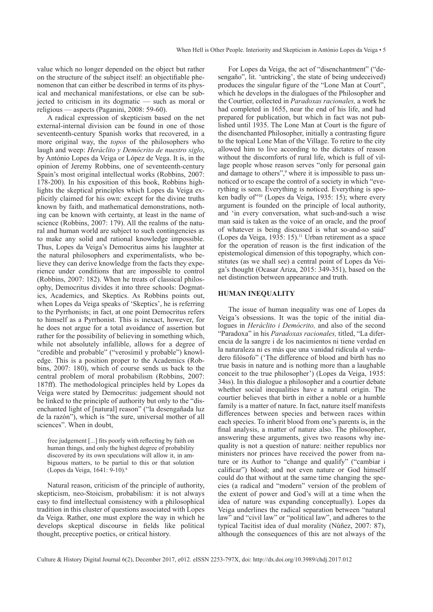value which no longer depended on the object but rather on the structure of the subject itself: an objectifiable phenomenon that can either be described in terms of its physical and mechanical manifestations, or else can be subjected to criticism in its dogmatic — such as moral or religious — aspects (Paganini, 2008: 59-60).

A radical expression of skepticism based on the net external-internal division can be found in one of those seventeenth-century Spanish works that recovered, in a more original way, the *topos* of the philosophers who laugh and weep: *Heráclito y Demócrito de nuestro siglo*, by António Lopes da Veiga or López de Vega. It is, in the opinion of Jeremy Robbins, one of seventeenth-century Spain's most original intellectual works (Robbins, 2007: 178-200). In his exposition of this book, Robbins highlights the skeptical principles which Lopes da Veiga explicitly claimed for his own: except for the divine truths known by faith, and mathematical demonstrations, nothing can be known with certainty, at least in the name of science (Robbins, 2007: 179). All the realms of the natural and human world are subject to such contingencies as to make any solid and rational knowledge impossible. Thus, Lopes da Veiga's Democritus aims his laughter at the natural philosophers and experimentalists, who believe they can derive knowledge from the facts they experience under conditions that are impossible to control (Robbins, 2007: 182). When he treats of classical philosophy, Democritus divides it into three schools: Dogmatics, Academics, and Skeptics. As Robbins points out, when Lopes da Veiga speaks of 'Skeptics', he is referring to the Pyrrhonists; in fact, at one point Democritus refers to himself as a Pyrrhonist. This is inexact, however, for he does not argue for a total avoidance of assertion but rather for the possibility of believing in something which, while not absolutely infallible, allows for a degree of "credible and probable" ("verosímil y probable") knowledge. This is a position proper to the Academics (Robbins, 2007: 180), which of course sends us back to the central problem of moral probabilism (Robbins, 2007: 187ff). The methodological principles held by Lopes da Veiga were stated by Democritus: judgement should not be linked to the principle of authority but only to the "disenchanted light of [natural] reason" ("la desengañada luz de la razón"), which is "the sure, universal mother of all sciences". When in doubt,

free judgement [...] fits poorly with reflecting by faith on human things, and only the highest degree of probability discovered by its own speculations will allow it, in ambiguous matters, to be partial to this or that solution (Lopes da Veiga, 1641: 9-10).8

Natural reason, criticism of the principle of authority, skepticism, neo-Stoicism, probabilism: it is not always easy to find intellectual consistency with a philosophical tradition in this cluster of questions associated with Lopes da Veiga. Rather, one must explore the way in which he develops skeptical discourse in fields like political thought, preceptive poetics, or critical history.

For Lopes da Veiga, the act of "disenchantment" ("desengaño", lit. 'untricking', the state of being undeceived) produces the singular figure of the "Lone Man at Court", which he develops in the dialogues of the Philosopher and the Courtier, collected in *Paradoxas racionales,* a work he had completed in 1655, near the end of his life, and had prepared for publication, but which in fact was not published until 1935. The Lone Man at Court is the figure of the disenchanted Philosopher, initially a contrasting figure to the topical Lone Man of the Village. To retire to the city allowed him to live according to the dictates of reason without the discomforts of rural life, which is full of village people whose reason serves "only for personal gain and damage to others",<sup>9</sup> where it is impossible to pass unnoticed or to escape the control of a society in which "everything is seen. Everything is noticed. Everything is spoken badly of"10 (Lopes da Veiga, 1935: 15); where every argument is founded on the principle of local authority, and 'in every conversation, what such-and-such a wise man said is taken as the voice of an oracle, and the proof of whatever is being discussed is what so-and-so said' (Lopes da Veiga, 1935: 15).11 Urban retirement as a space for the operation of reason is the first indication of the epistemological dimension of this topography, which constitutes (as we shall see) a central point of Lopes da Veiga's thought (Ocasar Ariza, 2015: 349-351), based on the net distinction between appearance and truth.

# **Human inequality**

The issue of human inequality was one of Lopes da Veiga's obsessions. It was the topic of the initial dialogues in *Heráclito i Demócrito,* and also of the second "Paradoxa" in his *Paradoxas racionales,* titled, "La diferencia de la sangre i de los nacimientos ni tiene verdad en la naturaleza ni es más que una vanidad ridícula al verdadero filósofo" ('The difference of blood and birth has no true basis in nature and is nothing more than a laughable conceit to the true philosopher') (Lopes da Veiga, 1935: 34ss). In this dialogue a philosopher and a courtier debate whether social inequalities have a natural origin. The courtier believes that birth in either a noble or a humble family is a matter of nature. In fact, nature itself manifests differences between species and between races within each species. To inherit blood from one's parents is, in the final analysis, a matter of nature also. The philosopher, answering these arguments, gives two reasons why inequality is not a question of nature: neither republics nor ministers nor princes have received the power from nature or its Author to "change and qualify" ("cambiar i calificar") blood; and not even nature or God himself could do that without at the same time changing the species (a radical and "modern" version of the problem of the extent of power and God's will at a time when the idea of nature was expanding conceptually). Lopes da Veiga underlines the radical separation between "natural law" and "civil law" or "political law", and adheres to the typical Tacitist idea of dual morality (Núñez, 2007: 87), although the consequences of this are not always of the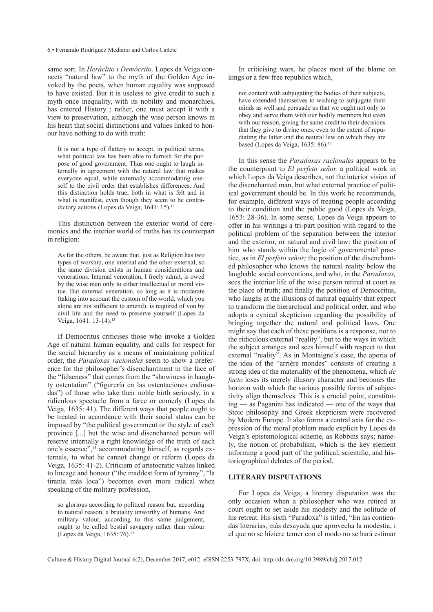same sort. In *Heráclito i Demócrito,* Lopes da Veiga connects "natural law" to the myth of the Golden Age invoked by the poets, when human equality was supposed to have existed. But it is useless to give credit to such a myth once inequality, with its nobility and monarchies, has entered History ; rather, one must accept it with a view to preservation, although the wise person knows in his heart that social distinctions and values linked to honour have nothing to do with truth:

It is not a type of flattery to accept, in political terms, what political law has been able to furnish for the purpose of good government. Thus one ought to laugh internally in agreement with the natural law that makes everyone equal, while externally accommodating oneself to the civil order that establishes differences. And this distinction holds true, both in what is felt and in what is manifest, even though they seem to be contradictory actions (Lopes da Veiga, 1641: 15).<sup>12</sup>

This distinction between the exterior world of ceremonies and the interior world of truths has its counterpart in religion:

As for the others, be aware that, just as Religion has two types of worship, one internal and the other external, so the same division exists in human considerations and venerations. Internal veneration, I freely admit, is owed by the wise man only to either intellectual or moral virtue. But external veneration, so long as it is moderate (taking into account the custom of the world, which you alone are not sufficient to amend), is required of you by civil life and the need to preserve yourself (Lopes da Veiga, 1641: 13-14).<sup>13</sup>

If Democritus criticises those who invoke a Golden Age of natural human equality, and calls for respect for the social hierarchy as a means of maintaining political order, the *Paradoxas racionales* seem to show a preference for the philosopher's disenchantment in the face of the "falseness" that comes from the "showiness in haughty ostentation" ("figurería en las ostentaciones endiosadas") of those who take their noble birth seriously, in a ridiculous spectacle from a farce or comedy (Lopes da Veiga, 1635: 41). The different ways that people ought to be treated in accordance with their social status can be imposed by "the political government or the style of each province [...] but the wise and disenchanted person will reserve internally a right knowledge of the truth of each one's essence",14 accommodating himself, as regards externals, to what he cannot change or reform (Lopes da Veiga, 1635: 41-2). Criticism of aristocratic values linked to lineage and honour ("the maddest form of tyranny", "la tiranía más loca") becomes even more radical when speaking of the military profession,

so glorious according to political reason but, according to natural reason, a brutality unworthy of humans. And military valour, according to this same judgement, ought to be called bestial savagery rather than valour (Lopes da Veiga, 1635: 76).15

In criticising wars, he places most of the blame on kings or a few free republics which,

not content with subjugating the bodies of their subjects, have extended themselves to wishing to subjugate their minds as well and persuade us that we ought not only to obey and serve them with our bodily members but even with our reason, giving the same credit to their decisions that they give to divine ones, even to the extent of repudiating the latter and the natural law on which they are based (Lopes da Veiga, 1635: 86).<sup>16</sup>

In this sense the *Paradoxas racionales* appears to be the counterpoint to *El perfeto señor,* a political work in which Lopes da Veiga describes, not the interior vision of the disenchanted man, but what external practice of political government should be. In this work he recommends, for example, different ways of treating people according to their condition and the public good (Lopes da Veiga, 1653: 28-36). In some sense, Lopes da Veiga appears to offer in his writings a tri-part position with regard to the political problem of the separation between the interior and the exterior, or natural and civil law: the position of him who stands within the logic of governmental practice, as in *El perfeto señor;* the position of the disenchanted philosopher who knows the natural reality below the laughable social conventions, and who, in the *Paradoxas,* sees the interior life of the wise person retired at court as the place of truth; and finally the position of Democritus, who laughs at the illusions of natural equality that expect to transform the hierarchical and political order, and who adopts a cynical skepticism regarding the possibility of bringing together the natural and political laws. One might say that each of these positions is a response, not to the ridiculous external "reality", but to the ways in which the subject arranges and sees himself with respect to that external "reality". As in Montaigne's case, the aporia of the idea of the "arrière mondes" consists of creating a strong idea of the materiality of the phenomena, which *de facto* loses its merely illusory character and becomes the horizon with which the various possible forms of subjectivity align themselves. This is a crucial point, constituting — as Paganini has indicated — one of the ways that Stoic philosophy and Greek skepticism were recovered by Modern Europe. It also forms a central axis for the expression of the moral problem made explicit by Lopes da Veiga's epistemological scheme, as Robbins says; namely, the notion of probabilism, which is the key element informing a good part of the political, scientific, and historiographical debates of the period.

# **Literary disputations**

For Lopes da Veiga, a literary disputation was the only occasion when a philosopher who was retired at court ought to set aside his modesty and the solitude of his retreat. His sixth "Paradoxa" is titled, "En las contiendas literarias, más desayuda que aprovecha la modestia, i el que no se hiziere temer con el modo no se hará estimar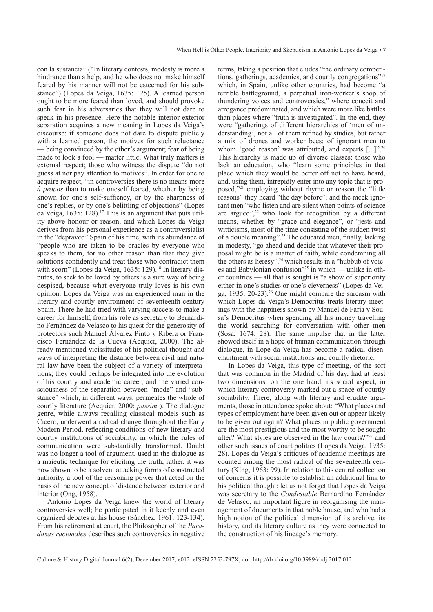con la sustancia" ("In literary contests, modesty is more a hindrance than a help, and he who does not make himself feared by his manner will not be esteemed for his substance") (Lopes da Veiga, 1635: 125). A learned person ought to be more feared than loved, and should provoke such fear in his adversaries that they will not dare to speak in his presence. Here the notable interior-exterior separation acquires a new meaning in Lopes da Veiga's discourse: if someone does not dare to dispute publicly with a learned person, the motives for such reluctance — being convinced by the other's argument; fear of being made to look a fool — matter little. What truly matters is external respect; those who witness the dispute "do not guess at nor pay attention to motives". In order for one to acquire respect, "in controversies there is no means more *à propos* than to make oneself feared, whether by being known for one's self-suffiency, or by the sharpness of one's replies, or by one's belittling of objections" (Lopes da Veiga, 1635: 128).17 This is an argument that puts utility above honour or reason, and which Lopes da Veiga derives from his personal experience as a controversialist in the "depraved" Spain of his time, with its abundance of "people who are taken to be oracles by everyone who speaks to them, for no other reason than that they give solutions confidently and treat those who contradict them with scorn" (Lopes da Veiga, 1635: 129).<sup>18</sup> In literary disputes, to seek to be loved by others is a sure way of being despised, because what everyone truly loves is his own opinion. Lopes da Veiga was an experienced man in the literary and courtly environment of seventeenth-century Spain. There he had tried with varying success to make a career for himself, from his role as secretary to Bernardino Fernández de Velasco to his quest for the generosity of protectors such Manuel Álvarez Pinto y Ribera or Francisco Fernández de la Cueva (Acquier, 2000). The already-mentioned vicissitudes of his political thought and ways of interpreting the distance between civil and natural law have been the subject of a variety of interpretations; they could perhaps be integrated into the evolution of his courtly and academic career, and the varied consciousness of the separation between "mode" and "substance" which, in different ways, permeates the whole of courtly literature (Acquier, 2000: *passim* ). The dialogue genre, while always recalling classical models such as Cicero, underwent a radical change throughout the Early Modern Period, reflecting conditions of new literary and courtly institutions of sociability, in which the rules of communication were substantially transformed. Doubt was no longer a tool of argument, used in the dialogue as a maieutic technique for eliciting the truth; rather, it was now shown to be a solvent attacking forms of constructed authority, a tool of the reasoning power that acted on the basis of the new concept of distance between exterior and interior (Ong, 1958).

António Lopes da Veiga knew the world of literary controversies well; he participated in it keenly and even organized debates at his house (Sánchez, 1961: 123-134). From his retirement at court, the Philosopher of the *Paradoxas racionales* describes such controversies in negative terms, taking a position that eludes "the ordinary competitions, gatherings, academies, and courtly congregations"19 which, in Spain, unlike other countries, had become "a terrible battleground, a perpetual iron-worker's shop of thundering voices and controversies," where conceit and arrogance predominated, and which were more like battles than places where "truth is investigated". In the end, they were "gatherings of different hierarchies of 'men of understanding', not all of them refined by studies, but rather a mix of drones and worker bees; of ignorant men to whom 'good reason' was attributed, and experts [...]".<sup>20</sup> This hierarchy is made up of diverse classes: those who lack an education, who "learn some principles in that place which they would be better off not to have heard, and, using them, intrepidly enter into any topic that is proposed,"21 employing without rhyme or reason the "little reasons" they heard "the day before"; and the meek ignorant men "who listen and are silent when points of science are argued", $2^2$  who look for recognition by a different means, whether by "grace and elegance", or "jests and witticisms, most of the time consisting of the sudden twist of a double meaning".23 The educated men, finally, lacking in modesty, "go ahead and decide that whatever their proposal might be is a matter of faith, while condemning all the others as heresy",<sup>24</sup> which results in a "hubbub of voices and Babylonian confusion"25 in which — unlike in other countries — all that is sought is "a show of superiority either in one's studies or one's cleverness" (Lopes da Veiga, 1935: 20-23).26 One might compare the sarcasm with which Lopes da Veiga's Democritus treats literary meetings with the happiness shown by Manuel de Faria y Sousa's Democritus when spending all his money travelling the world searching for conversation with other men (Sosa, 1674: 28). The same impulse that in the latter showed itself in a hope of human communication through dialogue, in Lope da Veiga has become a radical disenchantment with social institutions and courtly rhetoric.

In Lopes da Veiga, this type of meeting, of the sort that was common in the Madrid of his day, had at least two dimensions: on the one hand, its social aspect, in which literary controversy marked out a space of courtly sociability. There, along with literary and erudite arguments, those in attendance spoke about: "What places and types of employment have been given out or appear likely to be given out again? What places in public government are the most prestigious and the most worthy to be sought after? What styles are observed in the law courts?"27 and other such issues of court politics (Lopes da Veiga, 1935: 28). Lopes da Veiga's critiques of academic meetings are counted among the most radical of the seventeenth century (King, 1963: 99). In relation to this central collection of concerns it is possible to establish an additional link to his political thought: let us not forget that Lopes da Veiga was secretary to the *Condestable* Bernardino Fernández de Velasco, an important figure in reorganising the management of documents in that noble house, and who had a high notion of the political dimension of its archive, its history, and its literary culture as they were connected to the construction of his lineage's memory.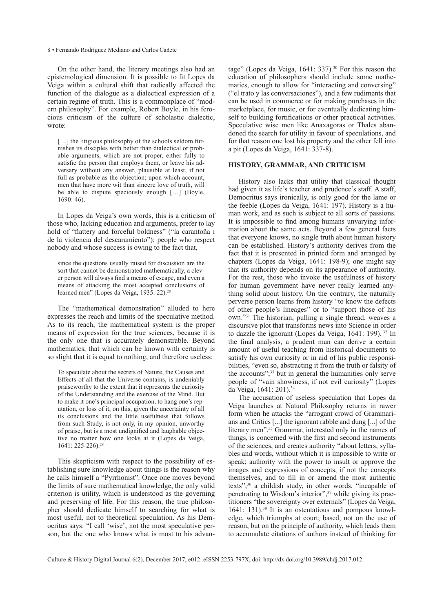On the other hand, the literary meetings also had an epistemological dimension. It is possible to fit Lopes da Veiga within a cultural shift that radically affected the function of the dialogue as a dialectical expression of a certain regime of truth. This is a commonplace of "modern philosophy". For example, Robert Boyle, in his ferocious criticism of the culture of scholastic dialectic, wrote:

[...] the litigious philosophy of the schools seldom furnishes its disciples with better than dialectical or probable arguments, which are not proper, either fully to satisfie the person that employs them, or leave his adversary without any answer, plausible at least, if not full as probable as the objection; upon which account, men that have more wit than sincere love of truth, will be able to dispute speciously enough […] (Boyle, 1690: 46).

In Lopes da Veiga's own words, this is a criticism of those who, lacking education and arguments, prefer to lay hold of "flattery and forceful boldness" ("la carantoña i de la violencia del descaramiento"); people who respect nobody and whose success is owing to the fact that,

since the questions usually raised for discussion are the sort that cannot be demonstrated mathematically, a clever person will always find a means of escape, and even a means of attacking the most accepted conclusions of learned men" (Lopes da Veiga, 1935: 22).<sup>28</sup>

The "mathematical demonstration" alluded to here expresses the reach and limits of the speculative method. As to its reach, the mathematical system is the proper means of expression for the true sciences, because it is the only one that is accurately demonstrable. Beyond mathematics, that which can be known with certainty is so slight that it is equal to nothing, and therefore useless:

To speculate about the secrets of Nature, the Causes and Effects of all that the Universe contains, is undeniably praiseworthy to the extent that it represents the curiosity of the Understanding and the exercise of the Mind. But to make it one's principal occupation, to hang one's reputation, or loss of it, on this, given the uncertainty of all its conclusions and the little usefulness that follows from such Study, is not only, in my opinion, unworthy of praise, but is a most undignified and laughable objective no matter how one looks at it (Lopes da Veiga, 1641: 225-226).29

This skepticism with respect to the possibility of establishing sure knowledge about things is the reason why he calls himself a "Pyrrhonist". Once one moves beyond the limits of sure mathematical knowledge, the only valid criterion is utility, which is understood as the governing and preserving of life. For this reason, the true philosopher should dedicate himself to searching for what is most useful, not to theoretical speculation. As his Democritus says: "I call 'wise', not the most speculative person, but the one who knows what is most to his advantage" (Lopes da Veiga, 1641: 337).<sup>30</sup> For this reason the education of philosophers should include some mathematics, enough to allow for "interacting and conversing" ("el trato y las conversaciones"), and a few rudiments that can be used in commerce or for making purchases in the marketplace, for music, or for eventually dedicating himself to building fortifications or other practical activities. Speculative wise men like Anaxagoras or Thales abandoned the search for utility in favour of speculations, and for that reason one lost his property and the other fell into a pit (Lopes da Veiga, 1641: 337-8).

# **History, grammar, and criticism**

History also lacks that utility that classical thought had given it as life's teacher and prudence's staff. A staff, Democritus says ironically, is only good for the lame or the feeble (Lopes da Veiga, 1641: 197). History is a human work, and as such is subject to all sorts of passions. It is impossible to find among humans unvarying information about the same acts. Beyond a few general facts that everyone knows, no single truth about human history can be established. History's authority derives from the fact that it is presented in printed form and arranged by chapters (Lopes da Veiga, 1641: 198-9); one might say that its authority depends on its appearance of authority. For the rest, those who invoke the usefulness of history for human government have never really learned anything solid about history. On the contrary, the naturally perverse person learns from history "to know the defects of other people's lineages" or to "support those of his own."31 The historian, pulling a single thread, weaves a discursive plot that transforms news into Science in order to dazzle the ignorant (Lopes da Veiga, 1641: 199). 32 In the final analysis, a prudent man can derive a certain amount of useful teaching from historical documents to satisfy his own curiosity or in aid of his public responsibilities, "even so, abstracting it from the truth or falsity of the accounts";<sup>33</sup> but in general the humanities only serve people of "vain showiness, if not evil curiosity" (Lopes da Veiga, 1641: 201).34

The accusation of useless speculation that Lopes da Veiga launches at Natural Philosophy returns in rawer form when he attacks the "arrogant crowd of Grammarians and Critics [...] the ignorant rabble and dung [...] of the literary men".<sup>35</sup> Grammar, interested only in the names of things, is concerned with the first and second instruments of the sciences, and creates authority "about letters, syllables and words, without which it is impossible to write or speak; authority with the power to insult or approve the images and expressions of concepts, if not the concepts themselves, and to fill in or amend the most authentic texts";36 a childish study, in other words, "incapable of penetrating to Wisdom's interior",37 while giving its practitioners "the sovereignty over externals" (Lopes da Veiga,  $1641: 131$ .<sup>38</sup> It is an ostentatious and pompous knowledge, which triumphs at court; based, not on the use of reason, but on the principle of authority, which leads them to accumulate citations of authors instead of thinking for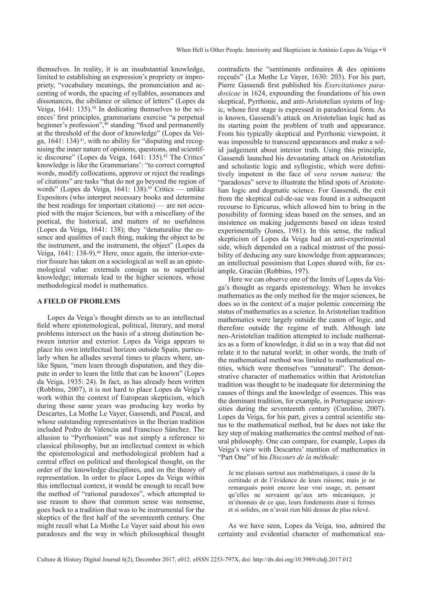themselves. In reality, it is an insubstantial knowledge, limited to establishing an expression's propriety or impropriety, "vocabulary meanings, the pronunciation and accenting of words, the spacing of syllables, assonances and dissonances, the sibilance or silence of letters" (Lopes da Veiga,  $1641: 135$ ).<sup>39</sup> In dedicating themselves to the sciences' first principles, grammarians exercise "a perpetual beginner's profession",<sup>40</sup> standing "fixed and permanently at the threshold of the door of knowledge" (Lopes da Veiga,  $1641: 134$ <sup>41</sup>, with no ability for "disputing and recognising the inner nature of opinions, questions, and scientific discourse" (Lopes da Veiga, 1641: 135).<sup>42</sup> The Critics' knowledge is like the Grammarians': "to correct corrupted words, modify collocations, approve or reject the readings of citations" are tasks "that do not go beyond the region of words" (Lopes da Veiga, 1641: 138).<sup>43</sup> Critics — unlike Expositors (who interpret necessary books and determine the best readings for important citations) — are not occupied with the major Sciences, but with a miscellany of the poetical, the historical, and matters of no usefulness (Lopes da Veiga, 1641: 138); they "denaturalise the essence and qualities of each thing, making the object to be the instrument, and the instrument, the object" (Lopes da Veiga, 1641: 138-9).<sup>44</sup> Here, once again, the interior-exterior fissure has taken on a sociological as well as an epistemological value: externals consign us to superficial knowledge; internals lead to the higher sciences, whose methodological model is mathematics.

## **A field of problems**

Lopes da Veiga's thought directs us to an intellectual field where epistemological, political, literary, and moral problems intersect on the basis of a strong distinction between interior and exterior. Lopes da Veiga appears to place his own intellectual horizon outside Spain, particularly when he alludes several times to places where, unlike Spain, "men learn through disputation, and they dispute in order to learn the little that can be known" (Lopes da Veiga, 1935: 24). In fact, as has already been written (Robbins, 2007), it is not hard to place Lopes da Veiga's work within the context of European skepticism, which during those same years was producing key works by Descartes, La Mothe Le Vayer, Gassendi, and Pascal, and whose outstanding representatives in the Iberian tradition included Pedro de Valencia and Francisco Sánchez. The allusion to "Pyrrhonism" was not simply a reference to classical philosophy, but an intellectual context in which the epistemological and methodological problem had a central effect on political and theological thought, on the order of the knowledge disciplines, and on the theory of representation. In order to place Lopes da Veiga within this intellectual context, it would be enough to recall how the method of "rational paradoxes", which attempted to use reason to show that common sense was nonsense, goes back to a tradition that was to be instrumental for the skeptics of the first half of the seventeenth century. One might recall what La Mothe Le Vayer said about his own paradoxes and the way in which philosophical thought

contradicts the "sentiments ordinaires & des opinions reçeuës" (La Mothe Le Vayer, 1630: 203). For his part, Pierre Gassendi first published his *Exercitationes paradoxicae* in 1624, expounding the foundations of his own skeptical, Pyrrhonic, and anti-Aristotelian system of logic, whose first stage is expressed in paradoxical form. As is known, Gassendi's attack on Aristotelian logic had as its starting point the problem of truth and appearance. From his typically skeptical and Pyrrhonic viewpoint, it was impossible to transcend appearances and make a solid judgement about interior truth. Using this principle, Gassendi launched his devastating attack on Aristotelian and scholastic logic and syllogistic, which were definitively impotent in the face of *vera rerum natura;* the "paradoxes" serve to illustrate the blind spots of Aristotelian logic and dogmatic science. For Gassendi, the exit from the skeptical cul-de-sac was found in a subsequent recourse to Epicurus, which allowed him to bring in the possibility of forming ideas based on the senses, and an insistence on making judgements based on ideas tested experimentally (Jones, 1981). In this sense, the radical skepticism of Lopes da Veiga had an anti-experimental side, which depended on a radical mistrust of the possibility of deducing any sure knowledge from appearances; an intellectual pessimism that Lopes shared with, for example, Gracián (Robbins, 197).

Here we can observe one of the limits of Lopes da Veiga's thought as regards epistemology. When he invokes mathematics as the only method for the major sciences, he does so in the context of a major polemic concerning the status of mathematics as a science. In Aristotelian tradition mathematics were largely outside the canon of logic, and therefore outside the regime of truth. Although late neo-Aristotelian tradition attempted to include mathematics as a form of knowledge, it did so in a way that did not relate it to the natural world; in other words, the truth of the mathematical method was limited to mathematical entities, which were themselves "unnatural". The demonstrative character of mathematics within that Aristotelian tradition was thought to be inadequate for determining the causes of things and the knowledge of essences. This was the dominant tradition, for example, in Portuguese universities during the seventeenth century (Carolino, 2007). Lopes da Veiga, for his part, gives a central scientific status to the mathematical method, but he does not take the key step of making mathematics the central method of natural philosophy. One can compare, for example, Lopes da Veiga's view with Descartes' mention of mathematics in "Part One" of his *Discours de la méthode:* 

Je me plaisais surtout aux mathématiques, à cause de la certitude et de l'évidence de leurs raisons; mais je ne remarquais point encore leur vrai usage, et, pensant qu'elles ne servaient qu'aux arts mécaniques, je m'étonnais de ce que, leurs fondements étant si fermes et si solides, on n'avait rien bâti dessus de plus relevé.

As we have seen, Lopes da Veiga, too, admired the certainty and evidential character of mathematical rea-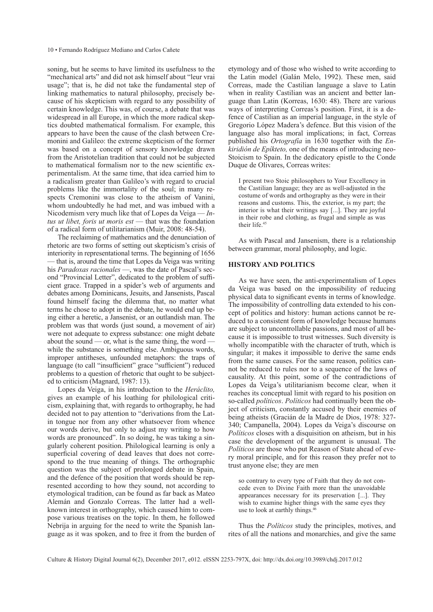soning, but he seems to have limited its usefulness to the "mechanical arts" and did not ask himself about "leur vrai usage"; that is, he did not take the fundamental step of linking mathematics to natural philosophy, precisely because of his skepticism with regard to any possibility of certain knowledge. This was, of course, a debate that was widespread in all Europe, in which the more radical skeptics doubted mathematical formalism. For example, this appears to have been the cause of the clash between Cremonini and Galileo: the extreme skepticism of the former was based on a concept of sensory knowledge drawn from the Aristotelian tradition that could not be subjected to mathematical formalism nor to the new scientific experimentalism. At the same time, that idea carried him to a radicalism greater than Galileo's with regard to crucial problems like the immortality of the soul; in many respects Cremonini was close to the atheism of Vanini, whom undoubtedly he had met, and was imbued with a Nicodemism very much like that of Lopes da Veiga — *Intus ut libet, foris ut moris est* — that was the foundation of a radical form of utilitarianism (Muir, 2008: 48-54).

The reclaiming of mathematics and the denunciation of rhetoric are two forms of setting out skepticism's crisis of interiority in representational terms. The beginning of 1656 — that is, around the time that Lopes da Veiga was writing his *Paradoxas racionales* —, was the date of Pascal's second "Provincial Letter", dedicated to the problem of sufficient grace. Trapped in a spider's web of arguments and debates among Dominicans, Jesuits, and Jansenists, Pascal found himself facing the dilemma that, no matter what terms he chose to adopt in the debate, he would end up being either a heretic, a Jansenist, or an outlandish man. The problem was that words (just sound, a movement of air) were not adequate to express substance: one might debate about the sound — or, what is the same thing, the word  $\overline{\phantom{a}}$ while the substance is something else. Ambiguous words, improper antitheses, unfounded metaphors: the traps of language (to call "insufficient" grace "sufficient") reduced problems to a question of rhetoric that ought to be subjected to criticism (Magnard, 1987: 13).

Lopes da Veiga, in his introduction to the *Heráclito,*  gives an example of his loathing for philological criticism, explaining that, with regards to orthography, he had decided not to pay attention to "derivations from the Latin tongue nor from any other whatsoever from whence our words derive, but only to adjust my writing to how words are pronounced". In so doing, he was taking a singularly coherent position. Philological learning is only a superficial covering of dead leaves that does not correspond to the true meaning of things. The orthographic question was the subject of prolonged debate in Spain, and the defence of the position that words should be represented according to how they sound, not according to etymological tradition, can be found as far back as Mateo Alemán and Gonzalo Correas. The latter had a wellknown interest in orthography, which caused him to compose various treatises on the topic. In them, he followed Nebrija in arguing for the need to write the Spanish language as it was spoken, and to free it from the burden of etymology and of those who wished to write according to the Latin model (Galán Melo, 1992). These men, said Correas, made the Castilian language a slave to Latin when in reality Castilian was an ancient and better language than Latin (Korreas, 1630: 48). There are various ways of interpreting Correas's position. First, it is a defence of Castilian as an imperial language, in the style of Gregorio López Madera's defence. But this vision of the language also has moral implications; in fact, Correas published his *Ortografía* in 1630 together with the *Enkiridión de Epíkteto,* one of the means of introducing neo-Stoicism to Spain. In the dedicatory epistle to the Conde Duque de Olivares, Correas writes:

I present two Stoic philosophers to Your Excellency in the Castilian language; they are as well-adjusted in the costume of words and orthography as they were in their reasons and customs. This, the exterior, is my part; the interior is what their writings say [...]. They are joyful in their robe and clothing, as frugal and simple as was their life.45

As with Pascal and Jansenism, there is a relationship between grammar, moral philosophy, and logic.

## **History and politics**

As we have seen, the anti-experimentalism of Lopes da Veiga was based on the impossibility of reducing physical data to significant events in terms of knowledge. The impossibility of controlling data extended to his concept of politics and history: human actions cannot be reduced to a consistent form of knowledge because humans are subject to uncontrollable passions, and most of all because it is impossible to trust witnesses. Such diversity is wholly incompatible with the character of truth, which is singular; it makes it impossible to derive the same ends from the same causes. For the same reason, politics cannot be reduced to rules nor to a sequence of the laws of causality. At this point, some of the contradictions of Lopes da Veiga's utilitarianism become clear, when it reaches its conceptual limit with regard to his position on so-called *políticos*. *Políticos* had continually been the object of criticism, constantly accused by their enemies of being atheists (Gracián de la Madre de Dios, 1978: 327- 340; Campanella, 2004). Lopes da Veiga's discourse on *Políticos* closes with a disquisition on atheism, but in his case the development of the argument is unusual. The *Políticos* are those who put Reason of State ahead of every moral principle, and for this reason they prefer not to trust anyone else; they are men

so contrary to every type of Faith that they do not concede even to Divine Faith more than the unavoidable appearances necessary for its preservation [...]. They wish to examine higher things with the same eyes they use to look at earthly things.<sup>46</sup>

Thus the *Políticos* study the principles, motives, and rites of all the nations and monarchies, and give the same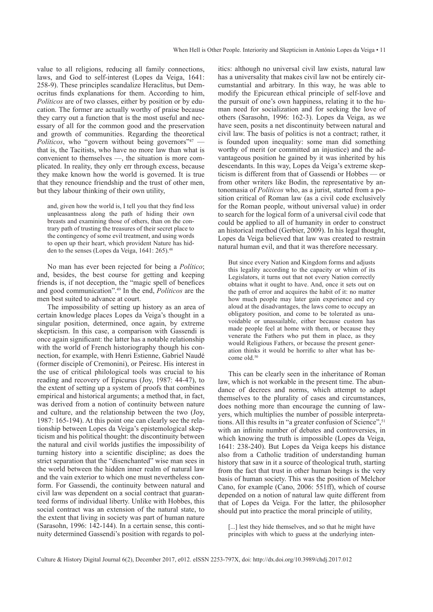value to all religions, reducing all family connections, laws, and God to self-interest (Lopes da Veiga, 1641: 258-9). These principles scandalize Heraclitus, but Democritus finds explanations for them. According to him, *Políticos* are of two classes, either by position or by education. The former are actually worthy of praise because they carry out a function that is the most useful and necessary of all for the common good and the preservation and growth of communities. Regarding the theoretical *Políticos*, who "govern without being governors"<sup>47</sup> that is, the Tacitists, who have no more law than what is convenient to themselves —, the situation is more complicated. In reality, they only err through excess, because they make known how the world is governed. It is true that they renounce friendship and the trust of other men, but they labour thinking of their own utility,

and, given how the world is, I tell you that they find less unpleasantness along the path of hiding their own breasts and examining those of others, than on the contrary path of trusting the treasures of their secret place to the contingency of some evil treatment, and using words to open up their heart, which provident Nature has hidden to the senses (Lopes da Veiga, 1641: 265).<sup>48</sup>

No man has ever been rejected for being a *Político*; and, besides, the best course for getting and keeping friends is, if not deception, the "magic spell of benefices and good communication".49 In the end, *Políticos* are the men best suited to advance at court.

The impossibility of setting up history as an area of certain knowledge places Lopes da Veiga's thought in a singular position, determined, once again, by extreme skepticism. In this case, a comparison with Gassendi is once again significant: the latter has a notable relationship with the world of French historiography though his connection, for example, with Henri Estienne, Gabriel Naudé (former disciple of Cremonini), or Peiresc. His interest in the use of critical philological tools was crucial to his reading and recovery of Epicurus (Joy, 1987: 44-47), to the extent of setting up a system of proofs that combines empirical and historical arguments; a method that, in fact, was derived from a notion of continuity between nature and culture, and the relationship between the two (Joy, 1987: 165-194). At this point one can clearly see the relationship between Lopes da Veiga's epistemological skepticism and his political thought: the discontinuity between the natural and civil worlds justifies the impossibility of turning history into a scientific discipline; as does the strict separation that the "disenchanted" wise man sees in the world between the hidden inner realm of natural law and the vain exterior to which one must nevertheless conform. For Gassendi, the continuity between natural and civil law was dependent on a social contract that guaranteed forms of individual liberty. Unlike with Hobbes, this social contract was an extension of the natural state, to the extent that living in society was part of human nature (Sarasohn, 1996: 142-144). In a certain sense, this continuity determined Gassendi's position with regards to politics: although no universal civil law exists, natural law has a universality that makes civil law not be entirely circumstantial and arbitrary. In this way, he was able to modify the Epicurean ethical principle of self-love and the pursuit of one's own happiness, relating it to the human need for socialization and for seeking the love of others (Sarasohn, 1996: 162-3). Lopes da Veiga, as we have seen, posits a net discontinuity between natural and civil law. The basis of politics is not a contract; rather, it is founded upon inequality: some man did something worthy of merit (or committed an injustice) and the advantageous position he gained by it was inherited by his descendants. In this way, Lopes da Veiga's extreme skepticism is different from that of Gassendi or Hobbes — or from other writers like Bodin, the representative by antonomasia of *Políticos* who, as a jurist, started from a position critical of Roman law (as a civil code exclusively for the Roman people, without universal value) in order to search for the logical form of a universal civil code that could be applied to all of humanity in order to construct an historical method (Gerbier, 2009). In his legal thought, Lopes da Veiga believed that law was created to restrain natural human evil, and that it was therefore necessary.

But since every Nation and Kingdom forms and adjusts this legality according to the capacity or whim of its Legislators, it turns out that not every Nation correctly obtains what it ought to have. And, once it sets out on the path of error and acquires the habit of it: no matter how much people may later gain experience and cry aloud at the disadvantages, the laws come to occupy an obligatory position, and come to be tolerated as unavoidable or unassailable, either because custom has made people feel at home with them, or because they venerate the Fathers who put them in place, as they would Religious Fathers, or because the present generation thinks it would be horrific to alter what has become old.<sup>50</sup>

This can be clearly seen in the inheritance of Roman law, which is not workable in the present time. The abundance of decrees and norms, which attempt to adapt themselves to the plurality of cases and circumstances, does nothing more than encourage the cunning of lawyers, which multiplies the number of possible interpretations. All this results in "a greater confusion of Science", <sup>51</sup> with an infinite number of debates and controversies, in which knowing the truth is impossible (Lopes da Veiga, 1641: 238-240). But Lopes da Veiga keeps his distance also from a Catholic tradition of understanding human history that saw in it a source of theological truth, starting from the fact that trust in other human beings is the very basis of human society. This was the position of Melchor Cano, for example (Cano, 2006: 551ff), which of course depended on a notion of natural law quite different from that of Lopes da Veiga. For the latter, the philosopher should put into practice the moral principle of utility,

[...] lest they hide themselves, and so that he might have principles with which to guess at the underlying inten-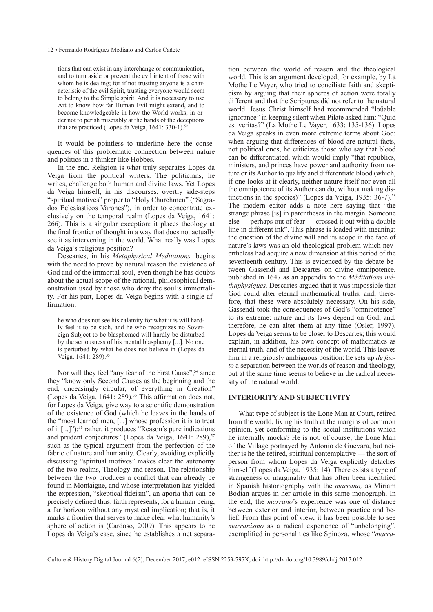tions that can exist in any interchange or communication, and to turn aside or prevent the evil intent of those with whom he is dealing; for if not trusting anyone is a characteristic of the evil Spirit, trusting everyone would seem to belong to the Simple spirit. And it is necessary to use Art to know how far Human Evil might extend, and to become knowledgeable in how the World works, in order not to perish miserably at the hands of the deceptions that are practiced (Lopes da Veiga,  $1641:330-1$ ).<sup>52</sup>

It would be pointless to underline here the consequences of this problematic connection between nature and politics in a thinker like Hobbes.

In the end, Religion is what truly separates Lopes da Veiga from the political writers. The politicians, he writes, challenge both human and divine laws. Yet Lopes da Veiga himself, in his discourses, overtly side-steps "spiritual motives" proper to "Holy Churchmen" ("Sagrados Eclesiásticos Varones"), in order to concentrate exclusively on the temporal realm (Lopes da Veiga, 1641: 266). This is a singular exception: it places theology at the final frontier of thought in a way that does not actually see it as intervening in the world. What really was Lopes da Veiga's religious position?

Descartes, in his *Metaphysical Meditations,* begins with the need to prove by natural reason the existence of God and of the immortal soul, even though he has doubts about the actual scope of the rational, philosophical demonstration used by those who deny the soul's immortality. For his part, Lopes da Veiga begins with a single affirmation:

he who does not see his calamity for what it is will hardly feel it to be such, and he who recognizes no Sovereign Subject to be blasphemed will hardly be disturbed by the seriousness of his mental blasphemy [...]. No one is perturbed by what he does not believe in (Lopes da Veiga, 1641: 289).<sup>53</sup>

Nor will they feel "any fear of the First Cause",<sup>54</sup> since they "know only Second Causes as the beginning and the end, unceasingly circular, of everything in Creation" (Lopes da Veiga,  $1641: 289$ ).<sup>55</sup> This affirmation does not, for Lopes da Veiga, give way to a scientific demonstration of the existence of God (which he leaves in the hands of the "most learned men, [...] whose profession it is to treat of it [...]");<sup>56</sup> rather, it produces "Reason's pure indications and prudent conjectures" (Lopes da Veiga, 1641: 289),<sup>57</sup> such as the typical argument from the perfection of the fabric of nature and humanity. Clearly, avoiding explicitly discussing "spiritual motives" makes clear the autonomy of the two realms, Theology and reason. The relationship between the two produces a conflict that can already be found in Montaigne, and whose interpretation has yielded the expression, "skeptical fideism", an aporia that can be precisely defined thus: faith represents, for a human being, a far horizon without any mystical implication; that is, it marks a frontier that serves to make clear what humanity's sphere of action is (Cardoso, 2009). This appears to be Lopes da Veiga's case, since he establishes a net separation between the world of reason and the theological world. This is an argument developed, for example, by La Mothe Le Vayer, who tried to conciliate faith and skepticism by arguing that their spheres of action were totally different and that the Scriptures did not refer to the natural world. Jesus Christ himself had recommended "loüable ignorance" in keeping silent when Pilate asked him: "Quid est veritas?" (La Mothe Le Vayer, 1633: 135-136). Lopes da Veiga speaks in even more extreme terms about God: when arguing that differences of blood are natural facts, not political ones, he criticizes those who say that blood can be differentiated, which would imply "that republics, ministers, and princes have power and authority from nature or its Author to qualify and differentiate blood (which, if one looks at it clearly, neither nature itself nor even all the omnipotence of its Author can do, without making distinctions in the species)" (Lopes da Veiga, 1935:  $36-7$ ).<sup>58</sup> The modern editor adds a note here saying that "the strange phrase [is] in parentheses in the margin. Someone else — perhaps out of fear — crossed it out with a double line in different ink". This phrase is loaded with meaning: the question of the divine will and its scope in the face of nature's laws was an old theological problem which nevertheless had acquire a new dimension at this period of the seventeenth century. This is evidenced by the debate between Gassendi and Descartes on divine omnipotence, published in 1647 as an appendix to the *Méditations méthaphysiques.* Descartes argued that it was impossible that God could alter eternal mathematical truths, and, therefore, that these were absolutely necessary. On his side, Gassendi took the consequences of God's "omnipotence" to its extreme: nature and its laws depend on God, and, therefore, he can alter them at any time (Osler, 1997). Lopes da Veiga seems to be closer to Descartes; this would explain, in addition, his own concept of mathematics as eternal truth, and of the necessity of the world. This leaves him in a religiously ambiguous position: he sets up *de facto* a separation between the worlds of reason and theology, but at the same time seems to believe in the radical necessity of the natural world.

## **Interiority and subjectivity**

What type of subject is the Lone Man at Court, retired from the world, living his truth at the margins of common opinion, yet conforming to the social institutions which he internally mocks? He is not, of course, the Lone Man of the Village portrayed by Antonio de Guevara, but neither is he the retired, spiritual contemplative — the sort of person from whom Lopes da Veiga explicitly detaches himself (Lopes da Veiga, 1935: 14). There exists a type of strangeness or marginality that has often been identified in Spanish historiography with the *marrano,* as Miriam Bodian argues in her article in this same monograph. In the end, the *marrano*'s experience was one of distance between exterior and interior, between practice and belief. From this point of view, it has been possible to see *marranismo* as a radical experience of "unbelonging", exemplified in personalities like Spinoza, whose "*marra-*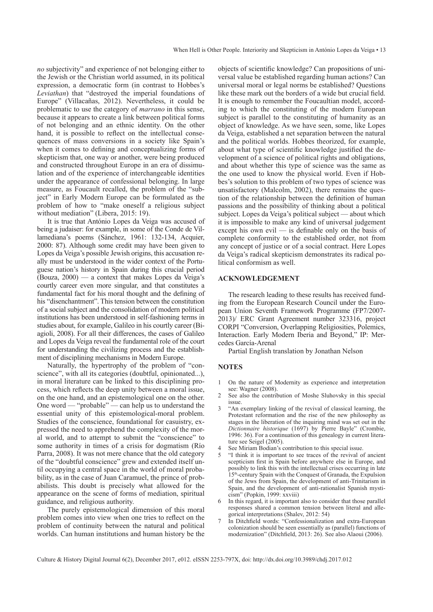*no* subjectivity" and experience of not belonging either to the Jewish or the Christian world assumed, in its political expression, a democratic form (in contrast to Hobbes's *Leviathan*) that "destroyed the imperial foundations of Europe" (Villacañas, 2012). Nevertheless, it could be problematic to use the category of *marrano* in this sense, because it appears to create a link between political forms of not belonging and an ethnic identity. On the other hand, it is possible to reflect on the intellectual consequences of mass conversions in a society like Spain's when it comes to defining and conceptualizing forms of skepticism that, one way or another, were being produced and constructed throughout Europe in an era of dissimulation and of the experience of interchangeable identities under the appearance of confessional belonging. In large measure, as Foucault recalled, the problem of the "subject" in Early Modern Europe can be formulated as the problem of how to "make oneself a religious subject without mediation" (Libera, 2015: 19).

It is true that António Lopes da Veiga was accused of being a judaiser: for example, in some of the Conde de Villamediana's poems (Sánchez, 1961: 132-134, Acquier, 2000: 87). Although some credit may have been given to Lopes da Veiga's possible Jewish origins, this accusation really must be understood in the wider context of the Portuguese nation's history in Spain during this crucial period (Bouza, 2000) — a context that makes Lopes da Veiga's courtly career even more singular, and that constitutes a fundamental fact for his moral thought and the defining of his "disenchantment". This tension between the constitution of a social subject and the consolidation of modern political institutions has been understood in self-fashioning terms in studies about, for example, Galileo in his courtly career (Biagioli, 2008). For all their differences, the cases of Galileo and Lopes da Veiga reveal the fundamental role of the court for understanding the civilizing process and the establishment of disciplining mechanisms in Modern Europe.

Naturally, the hypertrophy of the problem of "conscience", with all its categories (doubtful, opinionated...), in moral literature can be linked to this disciplining process, which reflects the deep unity between a moral issue, on the one hand, and an epistemological one on the other. One word — "probable" — can help us to understand the essential unity of this epistemological-moral problem. Studies of the conscience, foundational for casuistry, expressed the need to apprehend the complexity of the moral world, and to attempt to submit the "conscience" to some authority in times of a crisis for dogmatism (Río Parra, 2008). It was not mere chance that the old category of the "doubtful conscience" grew and extended itself until occupying a central space in the world of moral probability, as in the case of Juan Caramuel, the prince of probabilists. This doubt is precisely what allowed for the appearance on the scene of forms of mediation, spiritual guidance, and religious authority.

The purely epistemological dimension of this moral problem comes into view when one tries to reflect on the problem of continuity between the natural and political worlds. Can human institutions and human history be the objects of scientific knowledge? Can propositions of universal value be established regarding human actions? Can universal moral or legal norms be established? Questions like these mark out the borders of a wide but crucial field. It is enough to remember the Foucaultian model, according to which the constituting of the modern European subject is parallel to the constituting of humanity as an object of knowledge. As we have seen, some, like Lopes da Veiga, established a net separation between the natural and the political worlds. Hobbes theorized, for example, about what type of scientific knowledge justified the development of a science of political rights and obligations, and about whether this type of science was the same as the one used to know the physical world. Even if Hobbes's solution to this problem of two types of science was unsatisfactory (Malcolm, 2002), there remains the question of the relationship between the definition of human passions and the possibility of thinking about a political subject. Lopes da Veiga's political subject — about which it is impossible to make any kind of universal judgement except his own evil — is definable only on the basis of complete conformity to the established order, not from any concept of justice or of a social contract. Here Lopes da Veiga's radical skepticism demonstrates its radical political conformism as well.

#### **Acknowledgement**

The research leading to these results has received funding from the European Research Council under the European Union Seventh Framework Programme (FP7/2007- 2013)/ ERC Grant Agreement number 323316, project CORPI "Conversion, Overlapping Religiosities, Polemics, Interaction. Early Modern Iberia and Beyond," IP: Mercedes García-Arenal

Partial English translation by Jonathan Nelson

## **NOTES**

- 1 On the nature of Modernity as experience and interpretation see: Wagner (2008).
- See also the contribution of Moshe Sluhovsky in this special issue.
- 3 "An exemplary linking of the revival of classical learning, the Protestant reformation and the rise of the new philosophy as stages in the liberation of the inquiring mind was set out in the *Dictionnaire historique* (1697) by Pierre Bayle" (Crombie, 1996: 36). For a continuation of this genealogy in current literature see Seigel (2005).
- 4 See Miriam Bodian's contribution to this special issue.<br>5 "I think it is important to see traces of the revival of
- 5 "I think it is important to see traces of the revival of ancient scepticism first in Spain before anywhere else in Europe, and possibly to link this with the intellectual crises occurring in late 15<sup>th</sup>-century Spain with the Conquest of Granada, the Expulsion of the Jews from Spain, the development of anti-Trinitarism in Spain, and the development of anti-rationalist Spanish mysticism" (Popkin, 1999: xxviii)
- In this regard, it is important also to consider that those parallel responses shared a common tension between literal and allegorical interpretations (Shalev, 2012: 54)
- 7 In Ditchfield words: "Confessionalization and extra-European colonization should be seen essentially as (parallel) functions of modernization" (Ditchfield, 2013: 26). See also Alaoui (2006).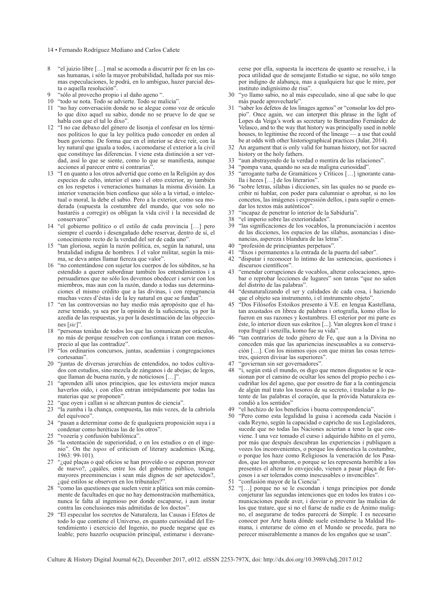- 14 Fernando Rodríguez Mediano and Carlos Cañete
- 8 "el juizio libre […] mal se acomoda a discurrir por fe en las cosas humanas, i sólo la mayor probabilidad, hallada por sus mismas especulaciones, le podrá, en lo ambiguo, hazer parcial desta o aquella resolución".
- "sólo al provecho propio i al daño ageno ".
- 10 "todo se nota. Todo se advierte. Todo se malicia".
- 11 "no hay conversación donde no se alegue como voz de oráculo lo que dixo aquel su sabio, donde no se prueve lo de que se habla con que el tal lo dixo".
- 12 "I no cae debaxo del género de lisonja el confesar en los términos políticos lo que la ley política pudo conceder en orden al buen govierno. De forma que en el interior se deve reír, con la ley natural que iguala a todos, i acomodarse el exterior a la civil que constituye las diferencias. I viene esta distinción a ser verdad, assí lo que se siente, como lo que se manifiesta, aunque acciones al parecer entre sí contrarias'
- 13 "I en quanto a los otros advertid que como en la Religión ay dos especies de culto, interior el uno i el otro exterior, ay también en los respetos i veneraciones humanas la misma división. La interior veneración bien confieso que sólo a la virtud, o intelectual o moral, la debe el sabio. Pero a la exterior, como sea moderada (supuesta la costumbre del mundo, que vos solo no bastaréis a corregir) os obligan la vida civil i la necesidad de conservaros"
- 14 "el gobierno político o el estilo de cada provincia […] pero siempre el cuerdo i desengañado debe reservar, dentro de sí, el conocimiento recto de la verdad del ser de cada uno".
- 15 "tan gloriosa, según la razón política, es, según la natural, una brutalidad indigna de hombres. I el valor militar, según la misma, se deva antes llamar fiereza que valor'
- 16 "no contentándose con sujetar los cuerpos de los súbditos, se ha estendido a querer subordinar también los entendimientos i a persuadirnos que no sólo los devemos obedecer i servir con los miembros, mas aun con la razón, dando a todas sus determinaciones el mismo crédito que a las divinas, i con repugnancia muchas vezes d'éstas i de la ley natural en que se fundan".
- 17 "en las controversias no hay medio más apropósito que el hazerse temido, ya sea por la opinión de la suficiencia, ya por la azedía de las respuestas, ya por la desestimación de las objecciones [*sic*]".
- 18 "personas tenidas de todos los que las comunican por oráculos, no más de porque resuelven con confiança i tratan con menosprecio al que las contradize".
- 19 "los ordinarios concursos, juntas, academias i congregaciones cortesanas".
- 20 "juntas de diversas jerarchías de entendidos, no todos cultivados con estudios, sino mezcla de zánganos i de abejas; de legos, que llaman de buena razón, y de noticiosos […]".
- 21 "aprenden allí unos principios, que les estuviera mejor nunca haverlos oído, i con ellos entran intrépidamente por todas las materias que se proponen".
- 22 "que oyen i callan si se altercan puntos de ciencia".
- 23 "la zumba i la chança, compuesta, las más vezes, de la cabriola del equívoco".
- 24 "pasan a determinar como de fe qualquiera proposición suya i a condenar como heréticas las de los otros".
- 25 "vozería y confusión babilónica".
- 26 "la ostentación de superioridad, o en los estudios o en el ingenio". On the *topos* of criticism of literary academies (King, 1963: 99-101).
- 27 "¿qué plaças o qué oficios se han proveído o se esperan proveer de nuevo?, ¿quáles, entre los del gobierno público, tengan mayores preeminencias i sean más dignos de ser apetecidos?, ¿qué estilos se observen en los tribunales?".
- 28 "como las questiones que suelen venir a plática son más comúnmente de facultades en que no hay demonstración mathemática, nunca le falta al ingenioso por donde escaparse, i aun instar contra las conclusiones más admitidas de los doctos".
- 29 "El especular los secretos de Naturaleza, las Causas i Efetos de todo lo que contiene el Universo, en quanto curiosidad del Entendimiento i exercicio del Ingenio, no puede negarse que es loable; pero hazerlo ocupación principal, estimarse i desvane-

cerse por ella, supuesta la incerteza de quanto se resuelve, i la poca utilidad que de semejante Estudio se sigue, no sólo tengo por indigno de alabança, mas a qualquiera luz que le mire, por instituto indignísimo de risa".

- 30 "yo llamo sabio, no al más especulado, sino al que sabe lo que más puede aprovecharle".
- 31 "saber los defetos de los linages agenos" or "consolar los del propio". Once again, we can interpret this phrase in the light of Lopes da Veiga's work as secretary to Bernardino Fernández de Velasco, and to the way that history was principally used in noble houses, to legitimise the record of the lineage — a use that could be at odds with other historiographical practices (Jular, 2014).
- 32 An argument that is only valid for human history, not for sacred history or the holy fathers.
- 33 "aun abstrayendo de la verdad o mentira de las relaciones".
- 34 "pompa vana, quando no sea de maligna curiosidad".
- 35 "arrogante turba de Gramáticos y Críticos […] ignorante canalla i hezes […] de los literarios".
- 36 "sobre letras, sílabas i dicciones, sin las quales no se puede escribir ni hablar, con poder para calumniar o aprobar, si no los concetos, las imágenes i expressión dellos, i para suplir o emendar los textos más auténticos".
- 37 "incapaz de penetrar lo interior de la Sabiduría".
- 38 "el imperio sobre las exterioridades".<br>39 "las significaciones de los vocablos"
- 39 "las significaciones de los vocablos, la pronunciación i acentos de las dicciones, los espacios de las sílabas, asonancias i disonancias, aspereza i blandura de las letras".
- 40 "profesión de principiantes perpetuos".
- 41 "fixos i permanentes a la entrada de la puerta del saber".
- 42 "disputar i reconocer lo íntimo de las sentencias, questiones i discursos científicos".
- 43 "emendar corrupciones de vocablos, alterar colocaciones, aprobar o reprobar lecciones de lugares" son tareas "que no salen del distrito de las palabras".
- 44 "desnaturalizando el ser y calidades de cada cosa, i haziendo que el objeto sea instrumento, i el instrumento objeto".
- 45 "Dos Filósofos Estoikos presento á V.E. en lengua Kastellana, tan axustados en librea de palabras i ortografía, komo ellos lo fueron en sus razones y kostumbres. El esterior por mi parte es éste, lo interior dizen sus eskritos [...]. Van alegres kon el traxe i ropa frugal i senzilla, komo fue su vida".
- "tan contrarios de todo género de Fe, que aun a la Divina no conceden más que las apariencias inescusables a su conservación […]. Con los mismos ojos con que miran las cosas terrestres, quieren divisar las superiores".
- 47 "goviernan sin ser governadores"<br>48 "i según está el mundo os digo o
- 48 "i, según está el mundo, os digo que menos disgustos se le ocasionan por el camino de ocultar los senos del propio pecho i escudriñar los del ageno, que por essotro de fiar a la contingencia de algún mal trato los tesoros de su secreto, i trasladar a lo patente de las palabras el coraçón, que la próvida Naturaleza escondió a los sentidos"
- 49 "el hechizo de los beneficios i buena correspondencia"<br>50 "Pero como esta legalidad la guisa i acomoda cada
- 50 "Pero como esta legalidad la guisa i acomoda cada Nación i cada Reyno, según la capacidad o capricho de sus Legisladores, sucede que no todas las Naciones aciertan a tener la que conviene. I una vez tomado el curso i adquirido hábito en el yerro, por más que después descubran las experiencias i publiquen a vozes los inconvenientes, o porque los domestica la costumbre, o porque los haze como Religiosos la veneración de los Pasados, que los aprobaron, o porque se les representa horrible a los presentes el alterar lo envejecido, vienen a pasar plaça de forçosos i a ser tolerados como inescusables o invencibles".
- 51 "confusión mayor de la Ciencia".
- 52 "[…] porque no se le escondan i tenga principios por donde conjeturar las segundas intenciones que en todos los tratos i comunicaciones puede aver, i desviar o prevenir las malicias de los que tratare, que si no el fiarse de nadie es de Ánimo maligno, el asegurarse de todos parecerá de Simple. I es necesario conocer por Arte hasta dónde suele estenderse la Maldad Humana, i enterarse de cómo en el Mundo se procede, para no perecer miserablemente a manos de los engaños que se usan".

Culture & History Digital Journal 6(2), December 2017, e012. eISSN 2253-797X, doi:<http://dx.doi.org/10.3989/chdj.2017.012>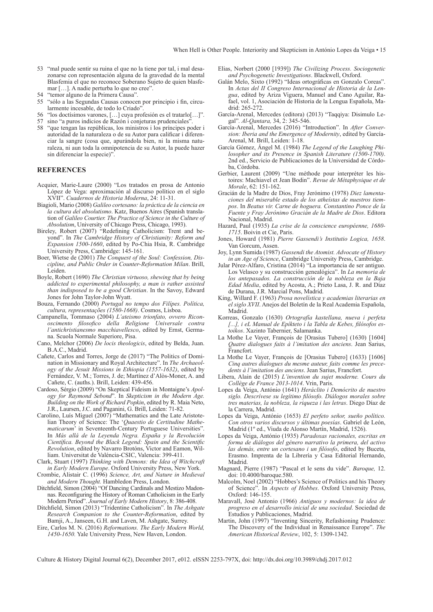- 53 "mal puede sentir su ruina el que no la tiene por tal, i mal desazonarse con representación alguna de la gravedad de la mental Blasfemia el que no reconoce Soberano Sujeto de quien blasfemar […]. A nadie perturba lo que no cree".
- 54 "temor alguno de la Primera Causa".<br>55 "sólo a las Segundas Causas conoce
- 55 "sólo a las Segundas Causas conocen por principio i fin, circularmente incesable, de todo lo Criado".
- 56 "los doctísimos varones, […] cuya profesión es el tratarlo[…]".
- 57 sino "a puros indicios de Razón i conjeturas prudenciales".
- 58 "que tengan las repúblicas, los ministros i los príncipes poder i autoridad de la naturaleza o de su Autor para calificar i diferenciar la sangre (cosa que, apurándola bien, ni la misma naturaleza, ni aun toda la omnipotencia de su Autor, la puede hazer sin diferenciar la especie)".

## **References**

- Acquier, Marie-Laure (2000) "Los tratados en prosa de Antonio López de Vega: aproximación al discurso político en el siglo XVII". *Cuadernos de Historia Moderna*, 24: 11-31.
- Biagioli, Mario (2008) *Galileo cortesano: la práctica de la ciencia en la cultura del absolutismo*. Katz, Buenos Aires (Spanish translation of *Galileo Courtier. The Practice of Science in the Culture of Absolutism*, University of Chicago Press, Chicago, 1993).
- Bireley, Robert (2007) "Redefining Catholicism: Trent and beyond". In *The Cambridge History of Christianity: Reform and Expansion 1500-1660*, edited by Po-Chia Hsia, R. Cambridge University Press, Cambridge: 145-161.
- Boer, Wietse de (2001) *The Conquest of the Soul: Confession, Discipline, and Public Order in Counter-Reformation Milan*. Brill, Leiden.
- Boyle, Robert (1690) *The Christian virtuoso, shewing that by being addicted to experimental philosophy, a man is rather assisted than indisposed to be a good Christian*. In the Savoy, Edward Jones for John Taylor-John Wyatt.
- Bouza, Fernando (2000) *Portugal no tempo dos Filípes. Política, cultura, representações (1580-1668)*. Cosmos, Lisboa.
- Campanella, Tommaso (2004) *L'ateismo trionfato, ovvero Riconoscimento filosofico della Religione Universale contra l'antichristianesmo macchiavellesco*, edited by Ernst, Germana. Scuola Normale Superiore, Pisa.
- Cano, Melchor (2006) *De locis theologicis*, edited by Belda, Juan. B.A.C., Madrid.
- Cañete, Carlos and Torres, Jorge de (2017) "The Politics of Domination in Missionary and Royal Architecture". In *The Archaeology of the Jesuit Missions in Ethiopia (1557-1632)*, edited by Fernández, V. M.; Torres, J. de; Martínez d'Alòs-Moner, A. and Cañete, C. (auths.). Brill, Leiden: 439-456.
- Cardoso, Sérgio (2009) "On Skeptical Fideism in Montaigne's *Apology for Raymond Sebond*". In *Skepticism in the Modern Age. Building on the Work of Richard Popkin*, edited by R. Maia Neto, J.R., Laursen, J.C. and Paganini, G. Brill, Leiden: 71-82.
- Carolino, Luís Miguel (2007) "Mathematics and the Late Aristotelian Theory of Science: The '*Quaestio de Certitudine Mathematicarum*' in Seventeenth-Century Portuguese Universities". In *Más allá de la Leyenda Negra. España y la Revolución Científica. Beyond the Black Legend: Spain and the Scientific Revolution*, edited by Navarro Brotóns, Victor and Eamon, William. Universitat de Valéncia-CSIC, Valencia: 399-411.
- Clark, Stuart (1997) *Thinking with Demons: the Idea of Witchcraft in Early Modern Europe*. Oxford University Press, New York.
- Crombie, Alistair C. (1996) *Science, Art, and Nature in Medieval and Modern Thought.* Hambledon Press, London.
- Ditchfield, Simon (2004) "Of Dancing Cardinals and Mestizo Madonnas. Reconfiguring the History of Roman Catholicism in the Early Modern Period". *Journal of Early Modern History*, 8: 386-408.
- Ditchfield, Simon (2013) "Tridentine Catholicism". In *The Ashgate Research Companion to the Counter-Reformation*, edited by Bamji, A., Janseen, G.H. and Laven, M. Ashgate, Surrey.
- Eire, Carlos M. N. (2016) *Reformations. The Early Modern World, 1450-1650.* Yale University Press, New Haven, London.
- Elias, Norbert (2000 [1939]) *The Civilizing Process. Sociogenetic and Psychogenetic Investigations*. Blackwell, Oxford.
- Galán Melo, Sixto (1992) "Ideas ortográficas en Gonzalo Coreas". In *Actas del II Congreso Internacional de Historia de la Lengua*, edited by Ariza Viguera, Manuel and Cano Aguilar, Rafael, vol. 1, Asociación de Historia de la Lengua Española, Madrid: 265-272.
- García-Arenal, Mercedes (editora) (2013) "Taqqiya: Disimulo Legal"*. Al-Qantara,* 34, 2: 345-546.
- García-Arenal, Mercedes (2016) "Introduction". In *After Conversion: Iberia and the Emergence of Modernity*, edited by García-Arenal, M. Brill, Leiden: 1-18.
- García Gómez, Ángel M. (1984) *The Legend of the Laughing Philosopher and its Presence in Spanish Literature (1500-1700)*. 2nd ed., Servicio de Publicaciones de la Universidad de Córdoba, Córdoba.
- Gerbier, Laurent (2009) "Une méthode pour interpréter les histoires: Machiavel et Jean Bodin". *Revue de Métaphysique et de Morale*, 62: 151-162.
- Gracián de la Madre de Dios, Fray Jerónimo (1978) *Diez lamentaciones del miserable estado de los atheístas de nuestros tiempos*. In *Beatus vir. Carne de hoguera. Constantino Ponce de la Fuente y Fray Jerónimo Gracián de la Madre de Dios*. Editora Nacional, Madrid.
- Hazard, Paul (1935) *La crise de la conscience européenne, 1680- 1715*. Boivin et Cie, Paris.
- Jones, Howard (1981) *Pierre Gassendi's Institutio Logica, 1658*. Van Gorcum, Assen.
- Joy, Lynn Sumida (1987) *Gassendi the Atomist. Advocate of History in an Age of Science*, Cambridge University Press, Cambridge.
- Jular Pérez-Alfaro, Cristina (2014) "La importancia de ser antiguo. Los Velasco y su construcción genealógica". In *La memoria de los antepasados. La construcción de la nobleza en la Baja Edad Media*, edited by Acosta, A.; Prieto Lasa, J. R. and Díaz de Durana, J.R. Marcial Pons, Madrid.
- King, Willard F. (1963) *Prosa novelística y academias literarias en el siglo XVII*. Anejos del Boletín de la Real Academia Española, Madrid.
- Korreas, Gonzalo (1630) *Ortografía kastellana, nueva i perfeta [...], i eL Manual de Epíkteto i la Tabla de Kebes, filósofos estoikos*. Xazinto Tabernier, Salamanka.
- La Mothe Le Vayer, François de [Orasius Tubero] (1630) [1604] *Quatre dialogues faits à l'imitation des anciens*. Jean Sarius, Francfort.
- La Mothe Le Vayer, François de [Orasius Tubero] (1633) [1606] *Cinq autres dialogues du mesme auteur, faits comme les precedents à l'imitation des anciens*. Jean Sarius, Francfort.
- Libera, Alain de (2015) *L'invention du sujet moderne. Cours du Collège de France 2013-1014*. Vrin, Paris.
- Lopes da Veiga, António (1641) *Heráclito i Demócrito de nuestro siglo. Descrívese su legítimo filósofo. Diálogos morales sobre tres materias, la nobleza, la riqueza i las letras*. Diego Díaz de la Carrera, Madrid.
- Lopes da Veiga, António (1653) *El perfeto señor, sueño político. Con otros varios discursos y últimas poesías*. Gabriel de León, Madrid (1º ed., Viuda de Alonso Martín, Madrid, 1526).
- Lopes da Veiga, António (1935) *Paradoxas racionales, escritas en forma de diálogos del género narrativo la primera, del activo las demás, entre un cortesano i un filósofo*, edited by Buceta, Erasmo. Imprenta de la Librería y Casa Editorial Hernando, Madrid.
- Magnard, Pierre (1987) "Pascal et le sens du vide". *Baroque,* 12. doi: [10.4000/baroque.580.](http://dx.doi.org/10.4000/baroque.580)
- Malcolm, Noel (2002) "Hobbes's Science of Politics and his Theory of Science". In *Aspects of Hobbes*. Oxford University Press, Oxford: 146-155.
- Maravall, José Antonio (1966) *Antiguos y modernos: la idea de progreso en el desarrollo inicial de una sociedad*. Sociedad de Estudios y Publicaciones, Madrid.
- Martin, John (1997) "Inventing Sincerity, Refashioning Prudence: The Discovery of the Individual in Renaissance Europe". *The American Historical Review*, 102, 5: 1309-1342.

Culture & History Digital Journal 6(2), December 2017, e012. eISSN 2253-797X, doi:<http://dx.doi.org/10.3989/chdj.2017.012>